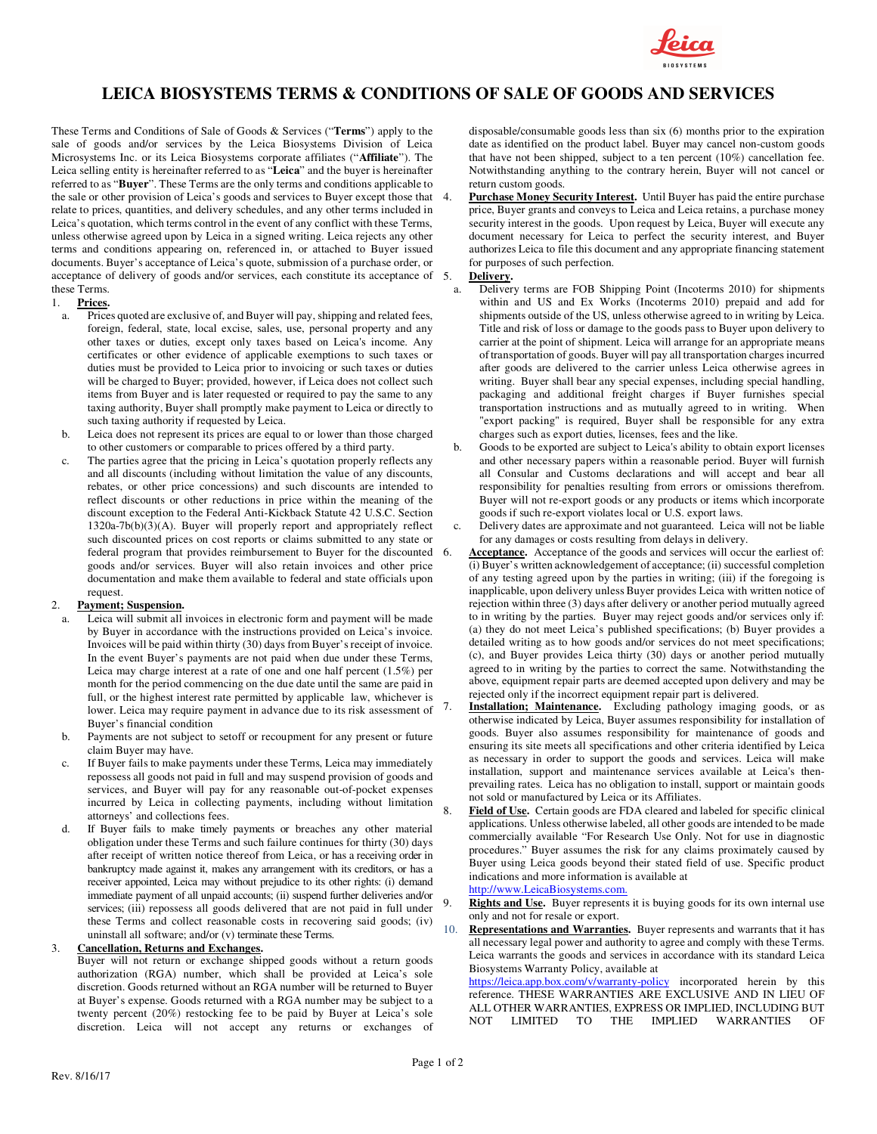

# **LEICA BIOSYSTEMS TERMS & CONDITIONS OF SALE OF GOODS AND SERVICES**

These Terms and Conditions of Sale of Goods & Services ("**Terms**") apply to the sale of goods and/or services by the Leica Biosystems Division of Leica Microsystems Inc. or its Leica Biosystems corporate affiliates ("**Affiliate**"). The Leica selling entity is hereinafter referred to as "**Leica**" and the buyer is hereinafter referred to as "**Buyer**". These Terms are the only terms and conditions applicable to the sale or other provision of Leica's goods and services to Buyer except those that relate to prices, quantities, and delivery schedules, and any other terms included in Leica's quotation, which terms control in the event of any conflict with these Terms, unless otherwise agreed upon by Leica in a signed writing. Leica rejects any other terms and conditions appearing on, referenced in, or attached to Buyer issued documents. Buyer's acceptance of Leica's quote, submission of a purchase order, or acceptance of delivery of goods and/or services, each constitute its acceptance of 5. these Terms.

## 1. **Prices.**

- a. Prices quoted are exclusive of, and Buyer will pay, shipping and related fees, foreign, federal, state, local excise, sales, use, personal property and any other taxes or duties, except only taxes based on Leica's income. Any certificates or other evidence of applicable exemptions to such taxes or duties must be provided to Leica prior to invoicing or such taxes or duties will be charged to Buyer; provided, however, if Leica does not collect such items from Buyer and is later requested or required to pay the same to any taxing authority, Buyer shall promptly make payment to Leica or directly to such taxing authority if requested by Leica.
- b. Leica does not represent its prices are equal to or lower than those charged to other customers or comparable to prices offered by a third party.
- c. The parties agree that the pricing in Leica's quotation properly reflects any and all discounts (including without limitation the value of any discounts, rebates, or other price concessions) and such discounts are intended to reflect discounts or other reductions in price within the meaning of the discount exception to the Federal Anti-Kickback Statute 42 U.S.C. Section  $1320a-7b(b)(3)(A)$ . Buyer will properly report and appropriately reflect such discounted prices on cost reports or claims submitted to any state or federal program that provides reimbursement to Buyer for the discounted goods and/or services. Buyer will also retain invoices and other price documentation and make them available to federal and state officials upon request.

# Payment; Suspension.

- Leica will submit all invoices in electronic form and payment will be made by Buyer in accordance with the instructions provided on Leica's invoice. Invoices will be paid within thirty (30) days from Buyer's receipt of invoice. In the event Buyer's payments are not paid when due under these Terms, Leica may charge interest at a rate of one and one half percent (1.5%) per month for the period commencing on the due date until the same are paid in full, or the highest interest rate permitted by applicable law, whichever is lower. Leica may require payment in advance due to its risk assessment of Buyer's financial condition
- b. Payments are not subject to setoff or recoupment for any present or future claim Buyer may have.
- c. If Buyer fails to make payments under these Terms, Leica may immediately repossess all goods not paid in full and may suspend provision of goods and services, and Buyer will pay for any reasonable out-of-pocket expenses incurred by Leica in collecting payments, including without limitation attorneys' and collections fees.
- d. If Buyer fails to make timely payments or breaches any other material obligation under these Terms and such failure continues for thirty (30) days after receipt of written notice thereof from Leica, or has a receiving order in bankruptcy made against it, makes any arrangement with its creditors, or has a receiver appointed, Leica may without prejudice to its other rights: (i) demand immediate payment of all unpaid accounts; (ii) suspend further deliveries and/or services; (iii) repossess all goods delivered that are not paid in full under these Terms and collect reasonable costs in recovering said goods; (iv) uninstall all software; and/or (v) terminate these Terms.

#### 3. **Cancellation, Returns and Exchanges.**

Buyer will not return or exchange shipped goods without a return goods authorization (RGA) number, which shall be provided at Leica's sole discretion. Goods returned without an RGA number will be returned to Buyer at Buyer's expense. Goods returned with a RGA number may be subject to a twenty percent (20%) restocking fee to be paid by Buyer at Leica's sole discretion. Leica will not accept any returns or exchanges of

disposable/consumable goods less than six (6) months prior to the expiration date as identified on the product label. Buyer may cancel non-custom goods that have not been shipped, subject to a ten percent (10%) cancellation fee. Notwithstanding anything to the contrary herein, Buyer will not cancel or return custom goods.

Purchase Money Security Interest. Until Buyer has paid the entire purchase price, Buyer grants and conveys to Leica and Leica retains, a purchase money security interest in the goods. Upon request by Leica, Buyer will execute any document necessary for Leica to perfect the security interest, and Buyer authorizes Leica to file this document and any appropriate financing statement for purposes of such perfection.

## 5. **Delivery.**

- a. Delivery terms are FOB Shipping Point (Incoterms 2010) for shipments within and US and Ex Works (Incoterms 2010) prepaid and add for shipments outside of the US, unless otherwise agreed to in writing by Leica. Title and risk of loss or damage to the goods pass to Buyer upon delivery to carrier at the point of shipment. Leica will arrange for an appropriate means of transportation of goods. Buyer will pay all transportation charges incurred after goods are delivered to the carrier unless Leica otherwise agrees in writing. Buyer shall bear any special expenses, including special handling, packaging and additional freight charges if Buyer furnishes special transportation instructions and as mutually agreed to in writing. When "export packing" is required, Buyer shall be responsible for any extra charges such as export duties, licenses, fees and the like.
- b. Goods to be exported are subject to Leica's ability to obtain export licenses and other necessary papers within a reasonable period. Buyer will furnish all Consular and Customs declarations and will accept and bear all responsibility for penalties resulting from errors or omissions therefrom. Buyer will not re-export goods or any products or items which incorporate goods if such re-export violates local or U.S. export laws.
- Delivery dates are approximate and not guaranteed. Leica will not be liable for any damages or costs resulting from delays in delivery.
- Acceptance. Acceptance of the goods and services will occur the earliest of: (i) Buyer's written acknowledgement of acceptance; (ii) successful completion of any testing agreed upon by the parties in writing; (iii) if the foregoing is inapplicable, upon delivery unless Buyer provides Leica with written notice of rejection within three (3) days after delivery or another period mutually agreed to in writing by the parties. Buyer may reject goods and/or services only if: (a) they do not meet Leica's published specifications; (b) Buyer provides a detailed writing as to how goods and/or services do not meet specifications; (c), and Buyer provides Leica thirty (30) days or another period mutually agreed to in writing by the parties to correct the same. Notwithstanding the above, equipment repair parts are deemed accepted upon delivery and may be rejected only if the incorrect equipment repair part is delivered.
- **Installation; Maintenance.** Excluding pathology imaging goods, or as otherwise indicated by Leica, Buyer assumes responsibility for installation of goods. Buyer also assumes responsibility for maintenance of goods and ensuring its site meets all specifications and other criteria identified by Leica as necessary in order to support the goods and services. Leica will make installation, support and maintenance services available at Leica's thenprevailing rates. Leica has no obligation to install, support or maintain goods not sold or manufactured by Leica or its Affiliates.
- Field of Use. Certain goods are FDA cleared and labeled for specific clinical applications. Unless otherwise labeled, all other goods are intended to be made commercially available "For Research Use Only. Not for use in diagnostic procedures." Buyer assumes the risk for any claims proximately caused by Buyer using Leica goods beyond their stated field of use. Specific product indications and more information is available at http://www.LeicaBiosystems.com.
- Rights and Use. Buyer represents it is buying goods for its own internal use only and not for resale or export.
- 10. **Representations and Warranties.** Buyer represents and warrants that it has all necessary legal power and authority to agree and comply with these Terms. Leica warrants the goods and services in accordance with its standard Leica Biosystems Warranty Policy, available at

https://leica.app.box.com/v/warranty-policy incorporated herein by this reference. THESE WARRANTIES ARE EXCLUSIVE AND IN LIEU OF ALL OTHER WARRANTIES, EXPRESS OR IMPLIED, INCLUDING BUT NOT LIMITED TO THE IMPLIED WARRANTIES OF NOT LIMITED TO THE IMPLIED WARRANTIES OF